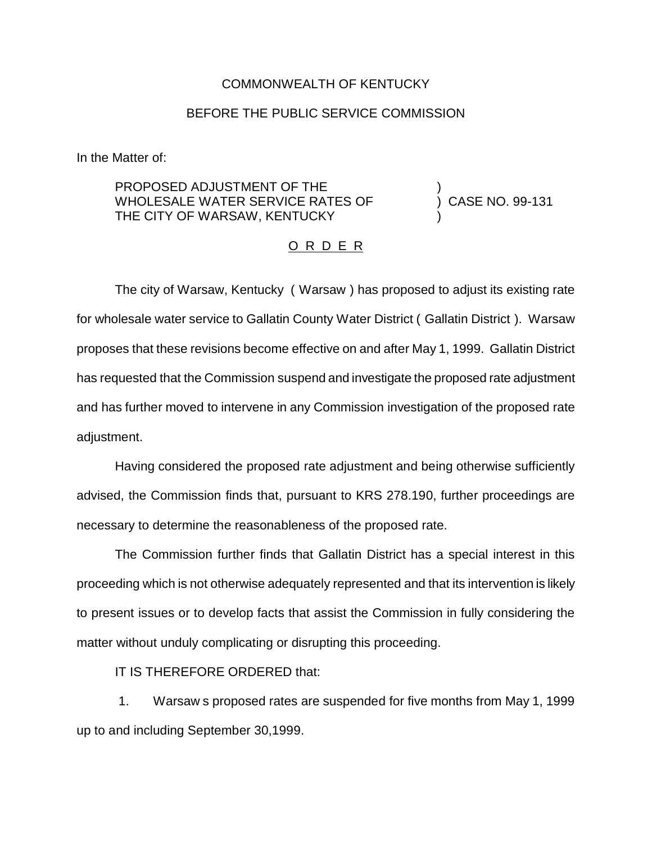## COMMONWEALTH OF KENTUCKY

## BEFORE THE PUBLIC SERVICE COMMISSION

In the Matter of:

PROPOSED ADJUSTMENT OF THE WHOLESALE WATER SERVICE RATES OF THE CITY OF WARSAW, KENTUCKY

) CASE NO. 99-131

)

)

## O R D E R

The city of Warsaw, Kentucky ( Warsaw ) has proposed to adjust its existing rate for wholesale water service to Gallatin County Water District ( Gallatin District ). Warsaw proposes that these revisions become effective on and after May 1, 1999. Gallatin District has requested that the Commission suspend and investigate the proposed rate adjustment and has further moved to intervene in any Commission investigation of the proposed rate adjustment.

Having considered the proposed rate adjustment and being otherwise sufficiently advised, the Commission finds that, pursuant to KRS 278.190, further proceedings are necessary to determine the reasonableness of the proposed rate.

The Commission further finds that Gallatin District has a special interest in this proceeding which is not otherwise adequately represented and that its intervention is likely to present issues or to develop facts that assist the Commission in fully considering the matter without unduly complicating or disrupting this proceeding.

IT IS THEREFORE ORDERED that:

1. Warsaw s proposed rates are suspended for five months from May 1, 1999 up to and including September 30,1999.